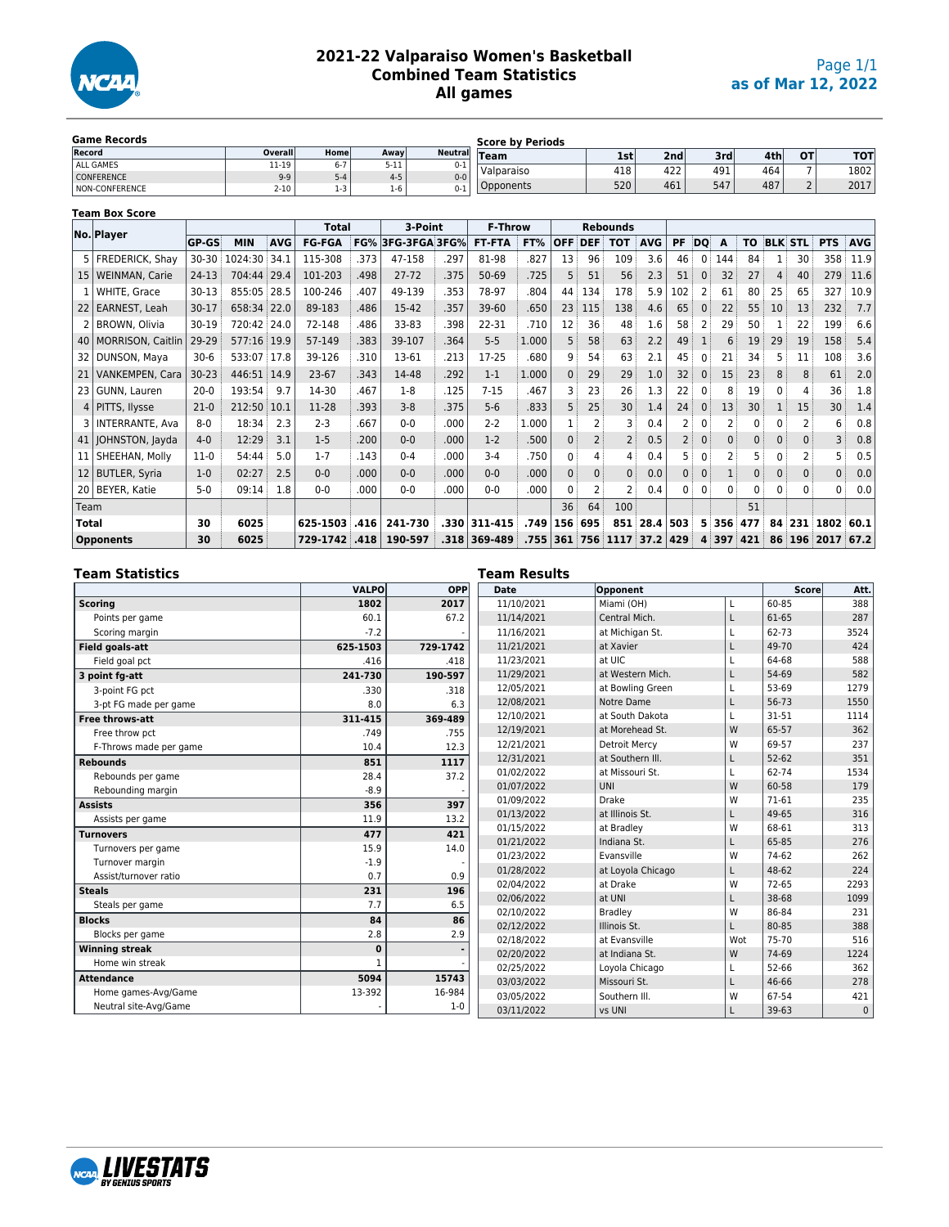

## **2021-22 Valparaiso Women's Basketball Combined Team Statistics All games**

| <b>Game Records</b> |                |         |          |                | <b>Score by Periods</b> |     |                 |     |                  |           |            |
|---------------------|----------------|---------|----------|----------------|-------------------------|-----|-----------------|-----|------------------|-----------|------------|
| Record              | <b>Overall</b> | Home    | Away     | <b>Neutral</b> | $T$ eam                 | 1st | 2 <sub>nd</sub> | 3rd | 4th <sub>1</sub> | <b>OT</b> | <b>TOT</b> |
| ALL GAMES           | 11-19          | $6 - 7$ | $5 - 11$ | $0 - 1$        |                         | 418 | 422             | 491 | 464              |           | 1802       |
| CONFERENCE          | $9 - 9$        | $5 - 4$ | $4 - 5$  | $0 - 0$        | Valparaiso              |     |                 |     |                  |           |            |
| NON-CONFERENCE      | $2 - 10$       | $1-3$   | 1-6      | $0 - 1$        | Opponents               | 520 | 461             | 547 | 487              | $\sim$    | 2017       |

|                 | <b>Team Box Score</b>  |           |             |            |               |      |                          |      |                |       |              |              |                 |            |                |                |              |              |              |                |            |            |
|-----------------|------------------------|-----------|-------------|------------|---------------|------|--------------------------|------|----------------|-------|--------------|--------------|-----------------|------------|----------------|----------------|--------------|--------------|--------------|----------------|------------|------------|
|                 | No. Player             |           |             |            | <b>Total</b>  |      | 3-Point                  |      | <b>F-Throw</b> |       |              |              | <b>Rebounds</b> |            |                |                |              |              |              |                |            |            |
|                 |                        | GP-GS     | <b>MIN</b>  | <b>AVG</b> | <b>FG-FGA</b> |      | <b>FG% 3FG-3FGA 3FG%</b> |      | FT-FTA         | FT%   | <b>OFF</b>   | DEF          | <b>TOT</b>      | <b>AVG</b> | PF             | DQ             | A            | TO           |              | <b>BLK STL</b> | <b>PTS</b> | <b>AVG</b> |
|                 | 5   FREDERICK, Shay    | $30 - 30$ | 1024:30     | 34.1       | 115-308       | .373 | 47-158                   | .297 | 81-98          | .827  | 13           | 96           | 109             | 3.6        | 46             | 0 <sup>1</sup> | 144          | 84           |              | 30             | 358        | 11.9       |
| 15 <sub>1</sub> | <b>WEINMAN, Carie</b>  | $24-13$   | 704:44      | 29.4       | 101-203       | .498 | $27 - 72$                | .375 | 50-69          | .725  | 5            | 51           | 56              | 2.3        | 51             | $\Omega$       | 32           | 27           | 4            | 40             | 279        | 11.6       |
|                 | WHITE, Grace           | $30-13$   | 855:05      | 28.5       | 100-246       | .407 | 49-139                   | .353 | 78-97          | .804  | 44           | 134          | 178             | 5.9        | 102            |                | 61           | 80           | 25           | 65             | 327        | 10.9       |
|                 | 22 EARNEST, Leah       | $30 - 17$ | 658:34 22.0 |            | 89-183        | .486 | 15-42                    | .357 | 39-60          | .650  | 23           | 115          | 138             | 4.6        | 65             | $\mathbf{0}$   | 22           | 55           | 10           | 13             | 232        | 7.7        |
|                 | <b>BROWN, Olivia</b>   | 30-19     | 720:42 24.0 |            | 72-148        | .486 | 33-83                    | .398 | 22-31          | .710  | 12           | 36           | 48              | 1.6        | 58             |                | 29           | 50           |              | 22             | 199        | 6.6        |
|                 | 40   MORRISON, Caitlin | 29-29     | 577:16      | 19.9       | 57-149        | .383 | 39-107                   | .364 | $5 - 5$        | 1.000 | 5            | 58           | 63              | 2.2        | 49             |                | 6            | 19           | 29           | 19             | 158        | 5.4        |
| 32 <sub>1</sub> | DUNSON, Maya           | $30-6$    | 533:07      | 17.8       | 39-126        | .310 | 13-61                    | .213 | 17-25          | .680  | 9            | 54           | 63              | 2.1        | 45             |                | 21           | 34           |              | 11             | 108        | 3.6        |
| 21              | VANKEMPEN, Cara        | $30 - 23$ | 446:51      | 14.9       | $23-67$       | .343 | 14-48                    | .292 | $1 - 1$        | 1.000 | $\mathbf{0}$ | 29           | 29              | 1.0        | 32             | $\mathbf{0}$   | 15           | 23           | 8            | 8              | 61         | 2.0        |
| 23              | GUNN, Lauren           | $20 - 0$  | 193:54      | 9.7        | 14-30         | .467 | $1-8$                    | .125 | $7 - 15$       | .467  | 3            | 23           | 26              | 1.3        | 22             |                | 8            | 19           |              | 4              | 36         | 1.8        |
|                 | 4 PITTS, Ilysse        | $21-0$    | 212:50      | 10.1       | 11-28         | .393 | $3 - 8$                  | .375 | $5 - 6$        | .833  | 5            | 25           | 30              | 1.4        | 24             | 0              | 13           | 30           |              | 15             | 30         | 1.4        |
|                 | 3   INTERRANTE, Ava    | $8-0$     | 18:34       | 2.3        | $2 - 3$       | .667 | $0 - 0$                  | .000 | $2 - 2$        | 1.000 |              |              |                 | 0.4        |                |                | 2            | 0            |              |                | 6          | 0.8        |
|                 | 41   JOHNSTON, Jayda   | $4 - 0$   | 12:29       | 3.1        | $1-5$         | .200 | $0 - 0$                  | .000 | $1-2$          | 500   | $\mathbf{0}$ |              | 2               | 0.5        | 2 <sup>3</sup> | $\mathbf{0}$   | $\mathbf{0}$ | $\mathbf{0}$ | $\mathbf{0}$ | 0              | 3          | 0.8        |
| 11 <sub>1</sub> | SHEEHAN, Molly         | $11-0$    | 54:44       | 5.0        | $1 - 7$       | .143 | $0 - 4$                  | .000 | $3 - 4$        | .750  | 0            | 4            | 4               | 0.4        | 5.             | 0              | 2            | 5            |              | 2              |            | 0.5        |
|                 | 12 BUTLER, Syria       | $1 - 0$   | 02:27       | 2.5        | $0 - 0$       | .000 | $0 - 0$                  | .000 | $0 - 0$        | .000. | $\mathbf{0}$ | $\mathbf{0}$ | $\mathbf{0}$    | 0.0        | 0              | $\mathbf{0}$   |              | $\mathbf{0}$ | $\mathbf{0}$ | $\mathbf{0}$   | 0          | 0.0        |
|                 | 20 BEYER, Katie        | $5-0$     | 09:14       | 1.8        | $0 - 0$       | .000 | $0 - 0$                  | .000 | $0 - 0$        | .000  | $\Omega$     |              | 2               | 0.4        | 0              | 0              | $\Omega$     | $\mathbf 0$  | 0            | 0              | 0          | 0.0        |
| Team            |                        |           |             |            |               |      |                          |      |                |       | 36           | 64           | 100             |            |                |                |              | 51           |              |                |            |            |
| Total           |                        | 30        | 6025        |            | 625-1503      | .416 | 241-730                  | .330 | 311-415        | .749  | 156          | 695          | 851             | 28.4       | 503            |                | 5356         | 477          | 84           | 231            | 1802       | 60.1       |
|                 | <b>Opponents</b>       | 30        | 6025        |            | 729-1742      | .418 | 190-597                  | .318 | 369-489        | .755  | 361          | 756          | 1117            | 37.2       | 429            |                | 4397         | 421          | 86           | 196            | 2017       | 67.2       |

| Team Statistics        |              |            | <b>Team Results</b> |                      |     |           |              |
|------------------------|--------------|------------|---------------------|----------------------|-----|-----------|--------------|
|                        | <b>VALPO</b> | <b>OPP</b> | Date                | Opponent             |     | Scorel    | Att.         |
| <b>Scoring</b>         | 1802         | 2017       | 11/10/2021          | Miami (OH)           |     | 60-85     | 388          |
| Points per game        | 60.1         | 67.2       | 11/14/2021          | Central Mich.        | L   | 61-65     | 287          |
| Scoring margin         | $-7.2$       |            | 11/16/2021          | at Michigan St.      |     | 62-73     | 3524         |
| <b>Field goals-att</b> | 625-1503     | 729-1742   | 11/21/2021          | at Xavier            | L   | 49-70     | 424          |
| Field goal pct         | .416         | .418       | 11/23/2021          | at UIC               |     | 64-68     | 588          |
| 3 point fg-att         | 241-730      | 190-597    | 11/29/2021          | at Western Mich.     | L   | 54-69     | 582          |
| 3-point FG pct         | .330         | .318       | 12/05/2021          | at Bowling Green     | L   | 53-69     | 1279         |
| 3-pt FG made per game  | 8.0          | 6.3        | 12/08/2021          | Notre Dame           | L   | 56-73     | 1550         |
| Free throws-att        | 311-415      | 369-489    | 12/10/2021          | at South Dakota      |     | 31-51     | 1114         |
| Free throw pct         | .749         | .755       | 12/19/2021          | at Morehead St.      | W   | 65-57     | 362          |
| F-Throws made per game | 10.4         | 12.3       | 12/21/2021          | <b>Detroit Mercy</b> | W   | 69-57     | 237          |
| <b>Rebounds</b>        | 851          | 1117       | 12/31/2021          | at Southern III.     | L   | $52 - 62$ | 351          |
| Rebounds per game      | 28.4         | 37.2       | 01/02/2022          | at Missouri St.      | L   | 62-74     | 1534         |
| Rebounding margin      | $-8.9$       |            | 01/07/2022          | UNI                  | W   | 60-58     | 179          |
| <b>Assists</b>         | 356          | 397        | 01/09/2022          | <b>Drake</b>         | W   | 71-61     | 235          |
| Assists per game       | 11.9         | 13.2       | 01/13/2022          | at Illinois St.      | L   | 49-65     | 316          |
| <b>Turnovers</b>       | 477          | 421        | 01/15/2022          | at Bradley           | W   | 68-61     | 313          |
| Turnovers per game     | 15.9         | 14.0       | 01/21/2022          | Indiana St.          | L   | 65-85     | 276          |
| Turnover margin        | $-1.9$       |            | 01/23/2022          | Evansville           | W   | 74-62     | 262          |
| Assist/turnover ratio  | 0.7          | 0.9        | 01/28/2022          | at Loyola Chicago    | L   | 48-62     | 224          |
| <b>Steals</b>          | 231          | 196        | 02/04/2022          | at Drake             | W   | $72 - 65$ | 2293         |
| Steals per game        | 7.7          | 6.5        | 02/06/2022          | at UNI               | L   | 38-68     | 1099         |
| <b>Blocks</b>          | 84           | 86         | 02/10/2022          | <b>Bradley</b>       | W   | 86-84     | 231          |
| Blocks per game        | 2.8          | 2.9        | 02/12/2022          | Illinois St.         | L   | 80-85     | 388          |
| <b>Winning streak</b>  | $\mathbf 0$  |            | 02/18/2022          | at Evansville        | Wot | 75-70     | 516          |
| Home win streak        | $\mathbf{1}$ |            | 02/20/2022          | at Indiana St.       | W   | 74-69     | 1224         |
|                        |              |            | 02/25/2022          | Loyola Chicago       | L   | 52-66     | 362          |
| <b>Attendance</b>      | 5094         | 15743      | 03/03/2022          | Missouri St.         | L   | 46-66     | 278          |
| Home games-Avg/Game    | 13-392       | 16-984     | 03/05/2022          | Southern III.        | W   | 67-54     | 421          |
| Neutral site-Avg/Game  |              | $1-0$      | 03/11/2022          | vs UNI               |     | 39-63     | $\mathbf{0}$ |